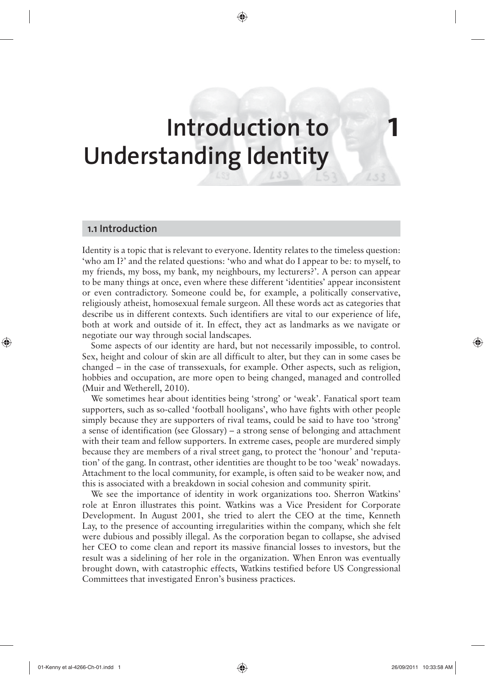## **1.1 Introduction**

Identity is a topic that is relevant to everyone. Identity relates to the timeless question: 'who am I?' and the related questions: 'who and what do I appear to be: to myself, to my friends, my boss, my bank, my neighbours, my lecturers?'. A person can appear to be many things at once, even where these different 'identities' appear inconsistent or even contradictory. Someone could be, for example, a politically conservative, religiously atheist, homosexual female surgeon. All these words act as categories that describe us in different contexts. Such identifiers are vital to our experience of life, both at work and outside of it. In effect, they act as landmarks as we navigate or negotiate our way through social landscapes.

Some aspects of our identity are hard, but not necessarily impossible, to control. Sex, height and colour of skin are all difficult to alter, but they can in some cases be changed – in the case of transsexuals, for example. Other aspects, such as religion, hobbies and occupation, are more open to being changed, managed and controlled (Muir and Wetherell, 2010).

We sometimes hear about identities being 'strong' or 'weak'. Fanatical sport team supporters, such as so-called 'football hooligans', who have fights with other people simply because they are supporters of rival teams, could be said to have too 'strong' a sense of identification (see Glossary) – a strong sense of belonging and attachment with their team and fellow supporters. In extreme cases, people are murdered simply because they are members of a rival street gang, to protect the 'honour' and 'reputation' of the gang. In contrast, other identities are thought to be too 'weak' nowadays. Attachment to the local community, for example, is often said to be weaker now, and this is associated with a breakdown in social cohesion and community spirit.

We see the importance of identity in work organizations too. Sherron Watkins' role at Enron illustrates this point. Watkins was a Vice President for Corporate Development. In August 2001, she tried to alert the CEO at the time, Kenneth Lay, to the presence of accounting irregularities within the company, which she felt were dubious and possibly illegal. As the corporation began to collapse, she advised her CEO to come clean and report its massive financial losses to investors, but the result was a sidelining of her role in the organization. When Enron was eventually brought down, with catastrophic effects, Watkins testified before US Congressional Committees that investigated Enron's business practices.

◈

♠

⊕

**1**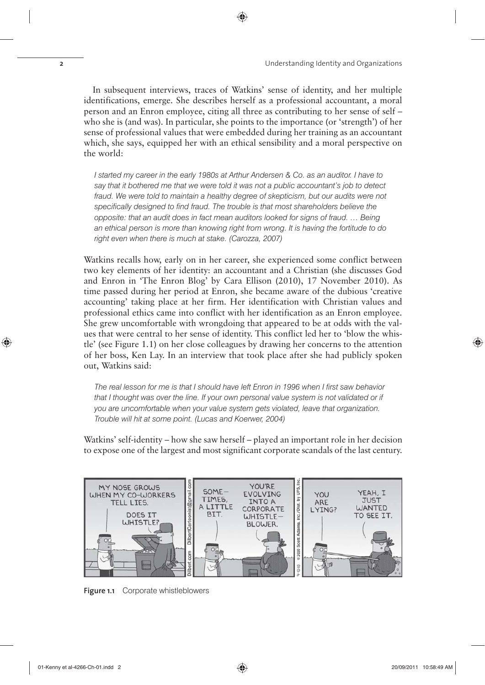In subsequent interviews, traces of Watkins' sense of identity, and her multiple identifications, emerge. She describes herself as a professional accountant, a moral person and an Enron employee, citing all three as contributing to her sense of self – who she is (and was). In particular, she points to the importance (or 'strength') of her sense of professional values that were embedded during her training as an accountant which, she says, equipped her with an ethical sensibility and a moral perspective on the world:

*I started my career in the early 1980s at Arthur Andersen & Co. as an auditor. I have to say that it bothered me that we were told it was not a public accountant's job to detect fraud. We were told to maintain a healthy degree of skepticism, but our audits were not specifically designed to find fraud. The trouble is that most shareholders believe the opposite: that an audit does in fact mean auditors looked for signs of fraud. … Being an ethical person is more than knowing right from wrong. It is having the fortitude to do right even when there is much at stake. (Carozza, 2007)*

Watkins recalls how, early on in her career, she experienced some conflict between two key elements of her identity: an accountant and a Christian (she discusses God and Enron in 'The Enron Blog' by Cara Ellison (2010), 17 November 2010). As time passed during her period at Enron, she became aware of the dubious 'creative accounting' taking place at her firm. Her identification with Christian values and professional ethics came into conflict with her identification as an Enron employee. She grew uncomfortable with wrongdoing that appeared to be at odds with the values that were central to her sense of identity. This conflict led her to 'blow the whistle' (see Figure 1.1) on her close colleagues by drawing her concerns to the attention of her boss, Ken Lay. In an interview that took place after she had publicly spoken out, Watkins said:

*The real lesson for me is that I should have left Enron in 1996 when I first saw behavior that I thought was over the line. If your own personal value system is not validated or if you are uncomfortable when your value system gets violated, leave that organization. Trouble will hit at some point. (Lucas and Koerwer, 2004)*

Watkins' self-identity – how she saw herself – played an important role in her decision to expose one of the largest and most significant corporate scandals of the last century.



**Figure 1.1** Corporate whistleblowers

♠

◈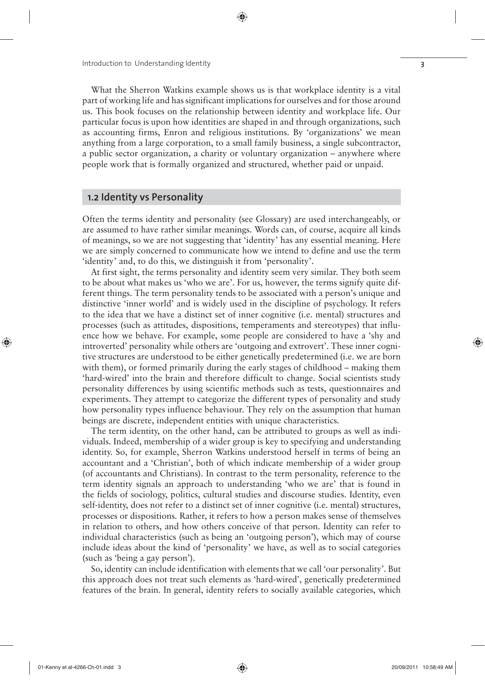⊕

What the Sherron Watkins example shows us is that workplace identity is a vital part of working life and has significant implications for ourselves and for those around us. This book focuses on the relationship between identity and workplace life. Our particular focus is upon how identities are shaped in and through organizations, such as accounting firms, Enron and religious institutions. By 'organizations' we mean anything from a large corporation, to a small family business, a single subcontractor, a public sector organization, a charity or voluntary organization – anywhere where people work that is formally organized and structured, whether paid or unpaid.

⊕

## **1.2 Identity vs Personality**

Often the terms identity and personality (see Glossary) are used interchangeably, or are assumed to have rather similar meanings. Words can, of course, acquire all kinds of meanings, so we are not suggesting that 'identity' has any essential meaning. Here we are simply concerned to communicate how we intend to define and use the term 'identity' and, to do this, we distinguish it from 'personality'.

At first sight, the terms personality and identity seem very similar. They both seem to be about what makes us 'who we are'. For us, however, the terms signify quite different things. The term personality tends to be associated with a person's unique and distinctive 'inner world' and is widely used in the discipline of psychology. It refers to the idea that we have a distinct set of inner cognitive (i.e. mental) structures and processes (such as attitudes, dispositions, temperaments and stereotypes) that influence how we behave. For example, some people are considered to have a 'shy and introverted' personality while others are 'outgoing and extrovert'. These inner cognitive structures are understood to be either genetically predetermined (i.e. we are born with them), or formed primarily during the early stages of childhood – making them 'hard-wired' into the brain and therefore difficult to change. Social scientists study personality differences by using scientific methods such as tests, questionnaires and experiments. They attempt to categorize the different types of personality and study how personality types influence behaviour. They rely on the assumption that human beings are discrete, independent entities with unique characteristics.

The term identity, on the other hand, can be attributed to groups as well as individuals. Indeed, membership of a wider group is key to specifying and understanding identity. So, for example, Sherron Watkins understood herself in terms of being an accountant and a 'Christian', both of which indicate membership of a wider group (of accountants and Christians). In contrast to the term personality, reference to the term identity signals an approach to understanding 'who we are' that is found in the fields of sociology, politics, cultural studies and discourse studies. Identity, even self-identity, does not refer to a distinct set of inner cognitive (i.e. mental) structures, processes or dispositions. Rather, it refers to how a person makes sense of themselves in relation to others, and how others conceive of that person. Identity can refer to individual characteristics (such as being an 'outgoing person'), which may of course include ideas about the kind of 'personality' we have, as well as to social categories (such as 'being a gay person').

So, identity can include identification with elements that we call 'our personality'. But this approach does not treat such elements as 'hard-wired', genetically predetermined features of the brain. In general, identity refers to socially available categories, which

◈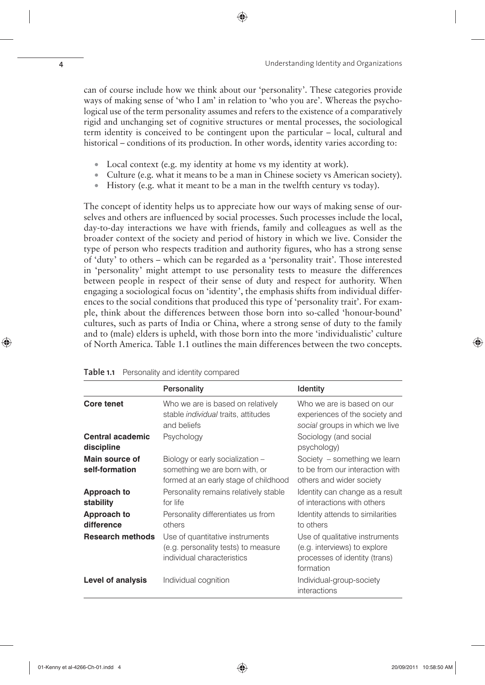can of course include how we think about our 'personality'. These categories provide ways of making sense of 'who I am' in relation to 'who you are'. Whereas the psychological use of the term personality assumes and refers to the existence of a comparatively rigid and unchanging set of cognitive structures or mental processes, the sociological term identity is conceived to be contingent upon the particular – local, cultural and historical – conditions of its production. In other words, identity varies according to:

♠

- Local context (e.g. my identity at home vs my identity at work).
- Culture (e.g. what it means to be a man in Chinese society vs American society).
- v History (e.g. what it meant to be a man in the twelfth century vs today).

The concept of identity helps us to appreciate how our ways of making sense of ourselves and others are influenced by social processes. Such processes include the local, day-to-day interactions we have with friends, family and colleagues as well as the broader context of the society and period of history in which we live. Consider the type of person who respects tradition and authority figures, who has a strong sense of 'duty' to others – which can be regarded as a 'personality trait'. Those interested in 'personality' might attempt to use personality tests to measure the differences between people in respect of their sense of duty and respect for authority. When engaging a sociological focus on 'identity', the emphasis shifts from individual differences to the social conditions that produced this type of 'personality trait'. For example, think about the differences between those born into so-called 'honour-bound' cultures, such as parts of India or China, where a strong sense of duty to the family and to (male) elders is upheld, with those born into the more 'individualistic' culture of North America. Table 1.1 outlines the main differences between the two concepts.

|                                       | Personality                                                                                                 | Identity                                                                                                     |  |
|---------------------------------------|-------------------------------------------------------------------------------------------------------------|--------------------------------------------------------------------------------------------------------------|--|
| Core tenet                            | Who we are is based on relatively<br>stable <i>individual</i> traits, attitudes<br>and beliefs              | Who we are is based on our<br>experiences of the society and<br>social groups in which we live               |  |
| <b>Central academic</b><br>discipline | Psychology                                                                                                  | Sociology (and social<br>psychology)                                                                         |  |
| Main source of<br>self-formation      | Biology or early socialization -<br>something we are born with, or<br>formed at an early stage of childhood | Society – something we learn<br>to be from our interaction with<br>others and wider society                  |  |
| <b>Approach to</b><br>stability       | Personality remains relatively stable<br>for life                                                           | Identity can change as a result<br>of interactions with others                                               |  |
| Approach to<br>difference             | Personality differentiates us from<br>others                                                                | Identity attends to similarities<br>to others                                                                |  |
| <b>Research methods</b>               | Use of quantitative instruments<br>(e.g. personality tests) to measure<br>individual characteristics        | Use of qualitative instruments<br>(e.g. interviews) to explore<br>processes of identity (trans)<br>formation |  |
| <b>Level of analysis</b>              | Individual cognition                                                                                        | Individual-group-society<br>interactions                                                                     |  |

|  | Table 1.1 Personality and identity compared |  |  |
|--|---------------------------------------------|--|--|
|--|---------------------------------------------|--|--|

◈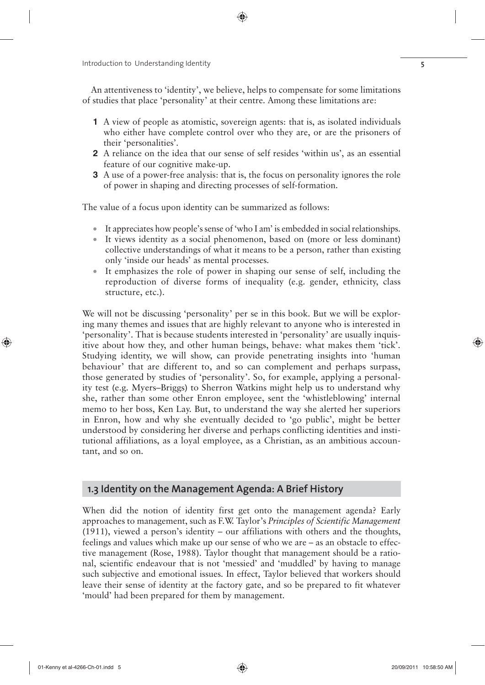An attentiveness to 'identity', we believe, helps to compensate for some limitations of studies that place 'personality' at their centre. Among these limitations are:

◈

- **1** A view of people as atomistic, sovereign agents: that is, as isolated individuals who either have complete control over who they are, or are the prisoners of their 'personalities'.
- **2** A reliance on the idea that our sense of self resides 'within us', as an essential feature of our cognitive make-up.
- **3** A use of a power-free analysis: that is, the focus on personality ignores the role of power in shaping and directing processes of self-formation.

The value of a focus upon identity can be summarized as follows:

- v It appreciates how people's sense of 'who I am' is embedded in social relationships.
- v It views identity as a social phenomenon, based on (more or less dominant) collective understandings of what it means to be a person, rather than existing only 'inside our heads' as mental processes.
- v It emphasizes the role of power in shaping our sense of self, including the reproduction of diverse forms of inequality (e.g. gender, ethnicity, class structure, etc.).

We will not be discussing 'personality' per se in this book. But we will be exploring many themes and issues that are highly relevant to anyone who is interested in 'personality'. That is because students interested in 'personality' are usually inquisitive about how they, and other human beings, behave: what makes them 'tick'. Studying identity, we will show, can provide penetrating insights into 'human behaviour' that are different to, and so can complement and perhaps surpass, those generated by studies of 'personality'. So, for example, applying a personality test (e.g. Myers–Briggs) to Sherron Watkins might help us to understand why she, rather than some other Enron employee, sent the 'whistleblowing' internal memo to her boss, Ken Lay. But, to understand the way she alerted her superiors in Enron, how and why she eventually decided to 'go public', might be better understood by considering her diverse and perhaps conflicting identities and institutional affiliations, as a loyal employee, as a Christian, as an ambitious accountant, and so on.

## **1.3 Identity on the Management Agenda: A Brief History**

When did the notion of identity first get onto the management agenda? Early approaches to management, such as F.W. Taylor's *Principles of Scientific Management*  (1911), viewed a person's identity – our affiliations with others and the thoughts, feelings and values which make up our sense of who we are – as an obstacle to effective management (Rose, 1988). Taylor thought that management should be a rational, scientific endeavour that is not 'messied' and 'muddled' by having to manage such subjective and emotional issues. In effect, Taylor believed that workers should leave their sense of identity at the factory gate, and so be prepared to fit whatever 'mould' had been prepared for them by management.

⊕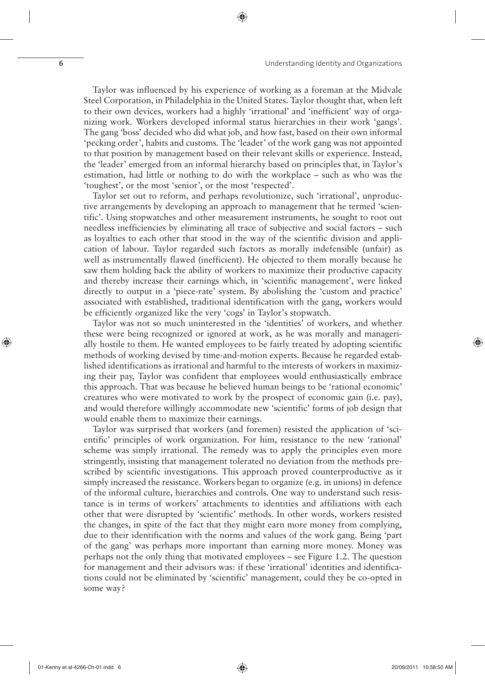Taylor was influenced by his experience of working as a foreman at the Midvale Steel Corporation, in Philadelphia in the United States. Taylor thought that, when left to their own devices, workers had a highly 'irrational' and 'inefficient' way of organizing work. Workers developed informal status hierarchies in their work 'gangs'. The gang 'boss' decided who did what job, and how fast, based on their own informal 'pecking order', habits and customs. The 'leader' of the work gang was not appointed to that position by management based on their relevant skills or experience. Instead, the 'leader' emerged from an informal hierarchy based on principles that, in Taylor's estimation, had little or nothing to do with the workplace – such as who was the 'toughest', or the most 'senior', or the most 'respected'.

◈

Taylor set out to reform, and perhaps revolutionize, such 'irrational', unproductive arrangements by developing an approach to management that he termed 'scientific'. Using stopwatches and other measurement instruments, he sought to root out needless inefficiencies by eliminating all trace of subjective and social factors – such as loyalties to each other that stood in the way of the scientific division and application of labour. Taylor regarded such factors as morally indefensible (unfair) as well as instrumentally flawed (inefficient). He objected to them morally because he saw them holding back the ability of workers to maximize their productive capacity and thereby increase their earnings which, in 'scientific management', were linked directly to output in a 'piece-rate' system. By abolishing the 'custom and practice' associated with established, traditional identification with the gang, workers would be efficiently organized like the very 'cogs' in Taylor's stopwatch.

Taylor was not so much uninterested in the 'identities' of workers, and whether these were being recognized or ignored at work, as he was morally and managerially hostile to them. He wanted employees to be fairly treated by adopting scientific methods of working devised by time-and-motion experts. Because he regarded established identifications as irrational and harmful to the interests of workers in maximizing their pay, Taylor was confident that employees would enthusiastically embrace this approach. That was because he believed human beings to be 'rational economic' creatures who were motivated to work by the prospect of economic gain (i.e. pay), and would therefore willingly accommodate new 'scientific' forms of job design that would enable them to maximize their earnings.

Taylor was surprised that workers (and foremen) resisted the application of 'scientific' principles of work organization. For him, resistance to the new 'rational' scheme was simply irrational. The remedy was to apply the principles even more stringently, insisting that management tolerated no deviation from the methods prescribed by scientific investigations. This approach proved counterproductive as it simply increased the resistance. Workers began to organize (e.g. in unions) in defence of the informal culture, hierarchies and controls. One way to understand such resistance is in terms of workers' attachments to identities and affiliations with each other that were disrupted by 'scientific' methods. In other words, workers resisted the changes, in spite of the fact that they might earn more money from complying, due to their identification with the norms and values of the work gang. Being 'part of the gang' was perhaps more important than earning more money. Money was perhaps not the only thing that motivated employees – see Figure 1.2. The question for management and their advisors was: if these 'irrational' identities and identifications could not be eliminated by 'scientific' management, could they be co-opted in some way?

◈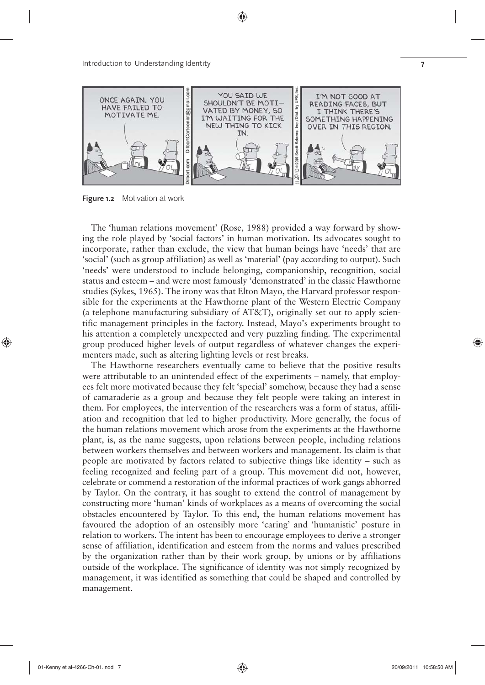

◈

**Figure 1.2** Motivation at work

The 'human relations movement' (Rose, 1988) provided a way forward by showing the role played by 'social factors' in human motivation. Its advocates sought to incorporate, rather than exclude, the view that human beings have 'needs' that are 'social' (such as group affiliation) as well as 'material' (pay according to output). Such 'needs' were understood to include belonging, companionship, recognition, social status and esteem – and were most famously 'demonstrated' in the classic Hawthorne studies (Sykes, 1965). The irony was that Elton Mayo, the Harvard professor responsible for the experiments at the Hawthorne plant of the Western Electric Company (a telephone manufacturing subsidiary of  $AT\&T$ ), originally set out to apply scientific management principles in the factory. Instead, Mayo's experiments brought to his attention a completely unexpected and very puzzling finding. The experimental group produced higher levels of output regardless of whatever changes the experimenters made, such as altering lighting levels or rest breaks.

The Hawthorne researchers eventually came to believe that the positive results were attributable to an unintended effect of the experiments – namely, that employees felt more motivated because they felt 'special' somehow, because they had a sense of camaraderie as a group and because they felt people were taking an interest in them. For employees, the intervention of the researchers was a form of status, affiliation and recognition that led to higher productivity. More generally, the focus of the human relations movement which arose from the experiments at the Hawthorne plant, is, as the name suggests, upon relations between people, including relations between workers themselves and between workers and management. Its claim is that people are motivated by factors related to subjective things like identity – such as feeling recognized and feeling part of a group. This movement did not, however, celebrate or commend a restoration of the informal practices of work gangs abhorred by Taylor. On the contrary, it has sought to extend the control of management by constructing more 'human' kinds of workplaces as a means of overcoming the social obstacles encountered by Taylor. To this end, the human relations movement has favoured the adoption of an ostensibly more 'caring' and 'humanistic' posture in relation to workers. The intent has been to encourage employees to derive a stronger sense of affiliation, identification and esteem from the norms and values prescribed by the organization rather than by their work group, by unions or by affiliations outside of the workplace. The significance of identity was not simply recognized by management, it was identified as something that could be shaped and controlled by management.

⊕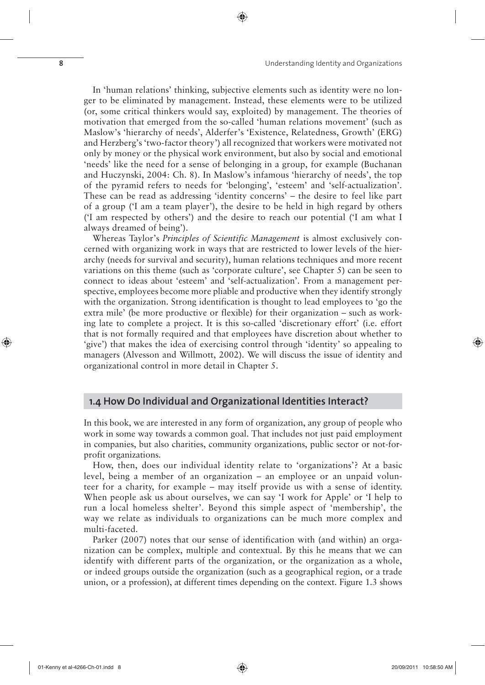In 'human relations' thinking, subjective elements such as identity were no longer to be eliminated by management. Instead, these elements were to be utilized (or, some critical thinkers would say, exploited) by management. The theories of motivation that emerged from the so-called 'human relations movement' (such as Maslow's 'hierarchy of needs', Alderfer's 'Existence, Relatedness, Growth' (ERG) and Herzberg's 'two-factor theory') all recognized that workers were motivated not only by money or the physical work environment, but also by social and emotional 'needs' like the need for a sense of belonging in a group, for example (Buchanan and Huczynski, 2004: Ch. 8). In Maslow's infamous 'hierarchy of needs', the top of the pyramid refers to needs for 'belonging', 'esteem' and 'self-actualization'. These can be read as addressing 'identity concerns' – the desire to feel like part of a group ('I am a team player'), the desire to be held in high regard by others ('I am respected by others') and the desire to reach our potential ('I am what I always dreamed of being').

⊕

Whereas Taylor's *Principles of Scientific Management* is almost exclusively concerned with organizing work in ways that are restricted to lower levels of the hierarchy (needs for survival and security), human relations techniques and more recent variations on this theme (such as 'corporate culture', see Chapter 5) can be seen to connect to ideas about 'esteem' and 'self-actualization'. From a management perspective, employees become more pliable and productive when they identify strongly with the organization. Strong identification is thought to lead employees to 'go the extra mile' (be more productive or flexible) for their organization – such as working late to complete a project. It is this so-called 'discretionary effort' (i.e. effort that is not formally required and that employees have discretion about whether to 'give') that makes the idea of exercising control through 'identity' so appealing to managers (Alvesson and Willmott, 2002). We will discuss the issue of identity and organizational control in more detail in Chapter 5.

## **1.4 How Do Individual and Organizational Identities Interact?**

In this book, we are interested in any form of organization, any group of people who work in some way towards a common goal. That includes not just paid employment in companies, but also charities, community organizations, public sector or not-forprofit organizations.

How, then, does our individual identity relate to 'organizations'? At a basic level, being a member of an organization – an employee or an unpaid volunteer for a charity, for example – may itself provide us with a sense of identity. When people ask us about ourselves, we can say 'I work for Apple' or 'I help to run a local homeless shelter'. Beyond this simple aspect of 'membership', the way we relate as individuals to organizations can be much more complex and multi-faceted.

Parker (2007) notes that our sense of identification with (and within) an organization can be complex, multiple and contextual. By this he means that we can identify with different parts of the organization, or the organization as a whole, or indeed groups outside the organization (such as a geographical region, or a trade union, or a profession), at different times depending on the context. Figure 1.3 shows

◈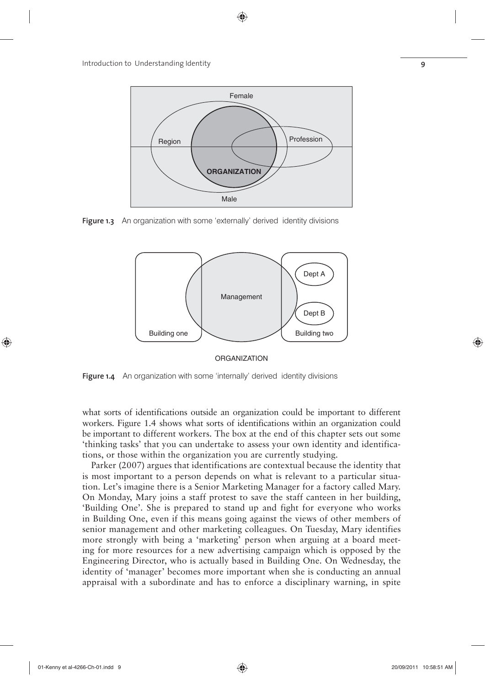

◈

**Figure 1.3** An organization with some 'externally' derived identity divisions



#### **ORGANIZATION**

**Figure 1.4** An organization with some 'internally' derived identity divisions

what sorts of identifications outside an organization could be important to different workers. Figure 1.4 shows what sorts of identifications within an organization could be important to different workers. The box at the end of this chapter sets out some 'thinking tasks' that you can undertake to assess your own identity and identifications, or those within the organization you are currently studying.

Parker (2007) argues that identifications are contextual because the identity that is most important to a person depends on what is relevant to a particular situation. Let's imagine there is a Senior Marketing Manager for a factory called Mary. On Monday, Mary joins a staff protest to save the staff canteen in her building, 'Building One'. She is prepared to stand up and fight for everyone who works in Building One, even if this means going against the views of other members of senior management and other marketing colleagues. On Tuesday, Mary identifies more strongly with being a 'marketing' person when arguing at a board meeting for more resources for a new advertising campaign which is opposed by the Engineering Director, who is actually based in Building One. On Wednesday, the identity of 'manager' becomes more important when she is conducting an annual appraisal with a subordinate and has to enforce a disciplinary warning, in spite

⊕

◈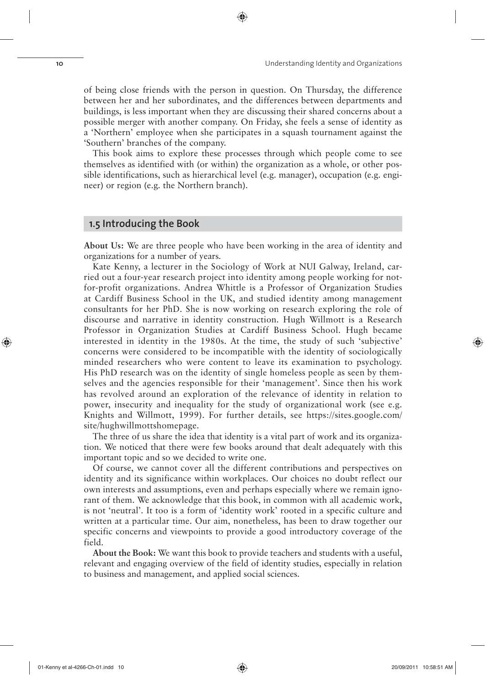of being close friends with the person in question. On Thursday, the difference between her and her subordinates, and the differences between departments and buildings, is less important when they are discussing their shared concerns about a possible merger with another company. On Friday, she feels a sense of identity as a 'Northern' employee when she participates in a squash tournament against the 'Southern' branches of the company.

⊕

This book aims to explore these processes through which people come to see themselves as identified with (or within) the organization as a whole, or other possible identifications, such as hierarchical level (e.g. manager), occupation (e.g. engineer) or region (e.g. the Northern branch).

## **1.5 Introducing the Book**

**About Us:** We are three people who have been working in the area of identity and organizations for a number of years.

Kate Kenny, a lecturer in the Sociology of Work at NUI Galway, Ireland, carried out a four-year research project into identity among people working for notfor-profit organizations. Andrea Whittle is a Professor of Organization Studies at Cardiff Business School in the UK, and studied identity among management consultants for her PhD. She is now working on research exploring the role of discourse and narrative in identity construction. Hugh Willmott is a Research Professor in Organization Studies at Cardiff Business School. Hugh became interested in identity in the 1980s. At the time, the study of such 'subjective' concerns were considered to be incompatible with the identity of sociologically minded researchers who were content to leave its examination to psychology. His PhD research was on the identity of single homeless people as seen by themselves and the agencies responsible for their 'management'. Since then his work has revolved around an exploration of the relevance of identity in relation to power, insecurity and inequality for the study of organizational work (see e.g. Knights and Willmott, 1999). For further details, see https://sites.google.com/ site/hughwillmottshomepage.

The three of us share the idea that identity is a vital part of work and its organization. We noticed that there were few books around that dealt adequately with this important topic and so we decided to write one.

Of course, we cannot cover all the different contributions and perspectives on identity and its significance within workplaces. Our choices no doubt reflect our own interests and assumptions, even and perhaps especially where we remain ignorant of them. We acknowledge that this book, in common with all academic work, is not 'neutral'. It too is a form of 'identity work' rooted in a specific culture and written at a particular time. Our aim, nonetheless, has been to draw together our specific concerns and viewpoints to provide a good introductory coverage of the field.

**About the Book:** We want this book to provide teachers and students with a useful, relevant and engaging overview of the field of identity studies, especially in relation to business and management, and applied social sciences.

◈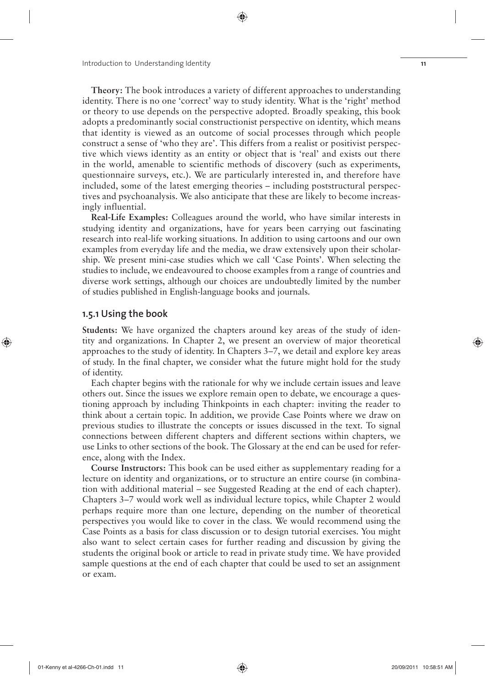**Theory:** The book introduces a variety of different approaches to understanding identity. There is no one 'correct' way to study identity. What is the 'right' method or theory to use depends on the perspective adopted. Broadly speaking, this book adopts a predominantly social constructionist perspective on identity, which means that identity is viewed as an outcome of social processes through which people construct a sense of 'who they are'. This differs from a realist or positivist perspective which views identity as an entity or object that is 'real' and exists out there in the world, amenable to scientific methods of discovery (such as experiments, questionnaire surveys, etc.). We are particularly interested in, and therefore have included, some of the latest emerging theories – including poststructural perspectives and psychoanalysis. We also anticipate that these are likely to become increasingly influential.

◈

**Real-Life Examples:** Colleagues around the world, who have similar interests in studying identity and organizations, have for years been carrying out fascinating research into real-life working situations. In addition to using cartoons and our own examples from everyday life and the media, we draw extensively upon their scholarship. We present mini-case studies which we call 'Case Points'. When selecting the studies to include, we endeavoured to choose examples from a range of countries and diverse work settings, although our choices are undoubtedly limited by the number of studies published in English-language books and journals.

### **1.5.1 Using the book**

◈

**Students:** We have organized the chapters around key areas of the study of identity and organizations. In Chapter 2, we present an overview of major theoretical approaches to the study of identity. In Chapters 3–7, we detail and explore key areas of study. In the final chapter, we consider what the future might hold for the study of identity.

Each chapter begins with the rationale for why we include certain issues and leave others out. Since the issues we explore remain open to debate, we encourage a questioning approach by including Thinkpoints in each chapter: inviting the reader to think about a certain topic. In addition, we provide Case Points where we draw on previous studies to illustrate the concepts or issues discussed in the text. To signal connections between different chapters and different sections within chapters, we use Links to other sections of the book. The Glossary at the end can be used for reference, along with the Index.

**Course Instructors:** This book can be used either as supplementary reading for a lecture on identity and organizations, or to structure an entire course (in combination with additional material – see Suggested Reading at the end of each chapter). Chapters 3–7 would work well as individual lecture topics, while Chapter 2 would perhaps require more than one lecture, depending on the number of theoretical perspectives you would like to cover in the class. We would recommend using the Case Points as a basis for class discussion or to design tutorial exercises. You might also want to select certain cases for further reading and discussion by giving the students the original book or article to read in private study time. We have provided sample questions at the end of each chapter that could be used to set an assignment or exam.